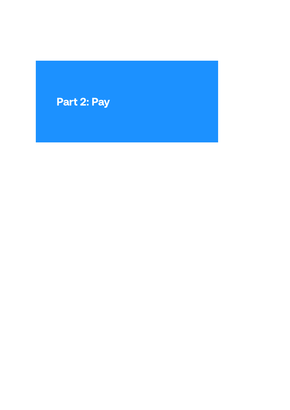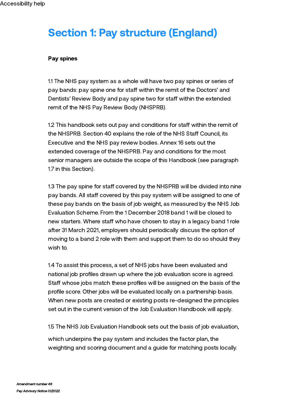# Section 1: Pay structure (England)

#### Pay spines

1.1 The NHS pay system as a whole will have two pay spines or series of pay bands: pay spine one for staff within the remit of the Doctors' and Dentists' Review Body and pay spine two for staff within the extended remit of the NHS Pay Review Body (NHSPRB).

1.2 This handbook sets out pay and conditions for staff within the remit of the NHSPRB. Section 40 explains the role of the NHS Staff Council, its Executive and the NHS pay review bodies. Annex 16 sets out the extended coverage of the NHSPRB. Pay and conditions for the most senior managers are outside the scope of this Handbook (see paragraph 1.7 in this Section).

1.3 The pay spine for staff covered by the NHSPRB will be divided into nine pay bands. All staff covered by this pay system will be assigned to one of these pay bands on the basis of job weight, as measured by the NHS Job Evaluation Scheme. From the 1 December 2018 band 1 will be closed to new starters. Where staff who have chosen to stay in a legacy band 1 role after 31 March 2021, employers should periodically discuss the option of moving to a band 2 role with them and support them to do so should they wish to.

1.4 To assist this process, a set of NHS jobs have been evaluated and national job profiles drawn up where the job evaluation score is agreed. Staff whose jobs match these profiles will be assigned on the basis of the profile score. Other jobs will be evaluated locally on a partnership basis. When new posts are created or existing posts re-designed the principles set out in the current version of the Job Evaluation Handbook will apply.

1.5 The NHS Job [Evaluation](https://www.nhsemployers.org/publications/nhs-job-evaluation-handbook) Handbook sets out the basis of job evaluation,

which underpins the pay system and includes the factor plan, the weighting and scoring document and a guide for matching posts locally.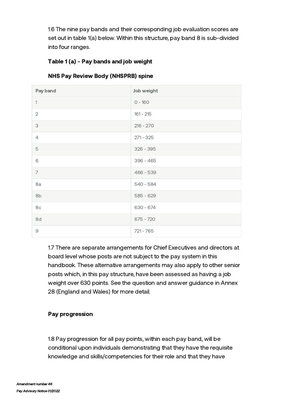1.6 The nine pay bands and their corresponding job evaluation scores are set out in table 1(a) below. Within this structure, pay band 8 is sub-divided into four ranges.

# Table 1 (a) - Pay bands and job weight

| Pay band                 | Job weight  |
|--------------------------|-------------|
| $\overline{\phantom{a}}$ | $0 - 160$   |
| $\sqrt{2}$               | $161 - 215$ |
| 3                        | $216 - 270$ |
| $\overline{4}$           | $271 - 325$ |
| 5                        | $326 - 395$ |
| 6                        | $396 - 465$ |
| $\overline{7}$           | $466 - 539$ |
| 8a                       | $540 - 584$ |
| 8b                       | $585 - 629$ |
| 8c                       | $630 - 674$ |
| 8d                       | $675 - 720$ |
| $\Theta$                 | $721 - 765$ |

# NHS Pay Review Body (NHSPRB) spine

1.7 There are separate arrangements for Chief Executives and directors at board level whose posts are not subject to the pay system in this handbook. These alternative arrangements may also apply to other senior posts which, in this pay structure, have been assessed as having a job weight over 630 points. See the question and answer guidance in Annex 28 (England and Wales) for more detail.

# Pay progression

1.8 Pay progression for all pay points, within each pay band, will be conditional upon individuals demonstrating that they have the requisite knowledge and skills/competencies for their role and that they have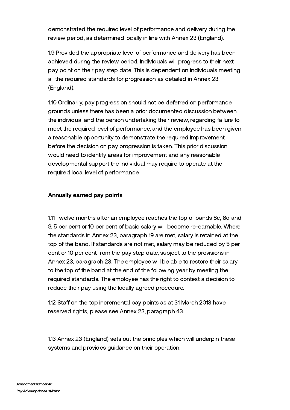demonstrated the required level of performance and delivery during the review period, as determined locally in line with Annex 23 (England).

1.9 Provided the appropriate level of performance and delivery has been achieved during the review period, individuals will progress to their next pay point on their pay step date. This is dependent on individuals meeting all the required standards for progression as detailed in Annex 23 (England).

1.10 Ordinarily, pay progression should not be deferred on performance grounds unless there has been a prior documented discussion between the individual and the person undertaking their review, regarding failure to meet the required level of performance, and the employee has been given a reasonable opportunity to demonstrate the required improvement before the decision on pay progression is taken. This prior discussion would need to identify areas for improvement and any reasonable developmental support the individual may require to operate at the required local level of performance.

#### Annually earned pay points

1.11 Twelve months after an employee reaches the top of bands 8c, 8d and 9, 5 per cent or 10 per cent of basic salary will become re-earnable. Where the standards in Annex 23, paragraph 19 are met, salary is retained at the top of the band. If standards are not met, salary may be reduced by 5 per cent or 10 per cent from the pay step date, subject to the provisions in Annex 23, paragraph 23. The employee will be able to restore their salary to the top of the band at the end of the following year by meeting the required standards. The employee has the right to contest a decision to reduce their pay using the locally agreed procedure.

1.12 Staff on the top incremental pay points as at 31 March 2013 have reserved rights, please see Annex 23, paragraph 43.

1.13 Annex 23 (England) sets out the principles which will underpin these systems and provides guidance on their operation.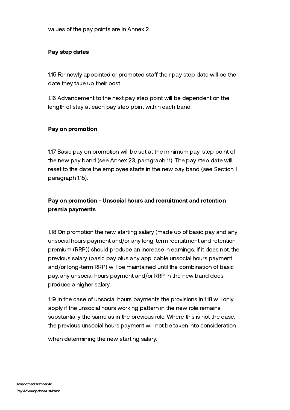values of the pay points are in Annex 2.

#### Pay step dates

1.15 For newly appointed or promoted staff their pay step date will be the date they take up their post.

1.16 Advancement to the next pay step point will be dependent on the length of stay at each pay step point within each band.

#### Pay on promotion

1.17 Basic pay on promotion will be set at the minimum pay-step point of the new pay band (see Annex 23, paragraph 11). The pay step date will reset to the date the employee starts in the new pay band (see Section 1 paragraph 1.15).

# Pay on promotion - Unsocial hours and recruitment and retention premia payments

1.18 On promotion the new starting salary (made up of basic pay and any unsocial hours payment and/or any long-term recruitment and retention premium (RRP)) should produce an increase in earnings. If it does not, the previous salary (basic pay plus any applicable unsocial hours payment and/or long-term RRP) will be maintained until the combination of basic pay, any unsocial hours payment and/or RRP in the new band does produce a higher salary.

1.19 In the case of unsocial hours payments the provisions in 1.18 will only apply if the unsocial hours working pattern in the new role remains substantially the same as in the previous role. Where this is not the case, the previous unsocial hours payment will not be taken into consideration

when determining the new starting salary.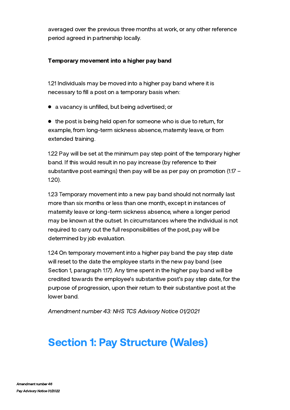averaged over the previous three months at work, or any other reference period agreed in partnership locally.

# Temporary movement into a higher pay band

1.21 Individuals may be moved into a higher pay band where it is necessary to fill a post on a temporary basis when:

a vacancy is unfilled, but being advertised; or

 $\bullet$  the post is being held open for someone who is due to return, for example, from long-term sickness absence, maternity leave, or from extended training.

1.22 Pay will be set at the minimum pay step point of the temporary higher band. If this would result in no pay increase (by reference to their substantive post earnings) then pay will be as per pay on promotion (1.17 – 1.20).

1.23 Temporary movement into a new pay band should not normally last more than six months or less than one month, except in instances of maternity leave or long-term sickness absence, where a longer period may be known at the outset. In circumstances where the individual is not required to carry out the full responsibilities of the post, pay will be determined by job evaluation.

1.24 On temporary movement into a higher pay band the pay step date will reset to the date the employee starts in the new pay band (see Section 1, paragraph 1.17). Any time spent in the higher pay band will be credited towards the employee's substantive post's pay step date, for the purpose of progression, upon their return to their substantive post at the lower band.

Amendment number 43: NHS TCS Advisory Notice 01/2021

# Section 1: Pay Structure (Wales)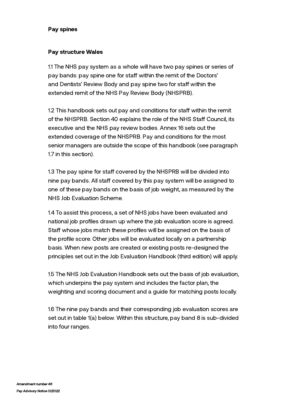#### Pay spines

#### Pay structure Wales

1.1 The NHS pay system as a whole will have two pay spines or series of pay bands: pay spine one for staff within the remit of the Doctors' and Dentists' Review Body and pay spine two for staff within the extended remit of the NHS Pay Review Body (NHSPRB).

1.2 This handbook sets out pay and conditions for staff within the remit of the NHSPRB. Section 40 explains the role of the NHS Staff Council, its executive and the NHS pay review bodies. Annex 16 sets out the extended coverage of the NHSPRB. Pay and [conditions](https://live-nhs-employers.pantheonsite.io/publications/tchandbook#annex-16---20) for the most senior managers are outside the scope of this handbook (see paragraph 1.7 in this section).

1.3 The pay spine for staff covered by the NHSPRB will be divided into nine pay bands. All staff covered by this pay system will be assigned to one of these pay bands on the basis of job weight, as measured by the NHS Job Evaluation Scheme.

1.4 To assist this process, a set of NHS jobs have been evaluated and national job profiles drawn up where the job evaluation score is agreed. Staff whose jobs match these profiles will be assigned on the basis of the profile score. Other jobs will be evaluated locally on a partnership basis. When new posts are created or existing posts re-designed the principles set out in the Job Evaluation Handbook (third edition) will apply.

1.5 The NHS Job Evaluation [Handbook](https://www.nhsemployers.org/publications/nhs-job-evaluation-handbook) sets out the basis of job evaluation, which underpins the pay system and includes the factor plan, the weighting and scoring document and a guide for matching posts locally.

1.6 The nine pay bands and their corresponding job evaluation scores are set out in table 1(a) below. Within this structure, pay band 8 is sub-divided into four ranges.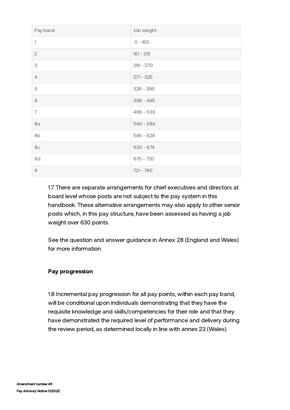| Pay band       | Job weight  |
|----------------|-------------|
| 1              | $0 - 160$   |
| $\sqrt{2}$     | $161 - 215$ |
| 3              | $216 - 270$ |
| $\overline{4}$ | $271 - 325$ |
| 5              | $326 - 395$ |
| 6              | $396 - 465$ |
| $\overline{7}$ | $466 - 539$ |
| 8a             | $540 - 584$ |
| 8b             | $585 - 629$ |
| 8c             | $630 - 674$ |
| 8d             | $675 - 720$ |
| $\Theta$       | $721 - 765$ |

1.7 There are separate arrangements for chief executives and directors at board level whose posts are not subject to the pay system in this handbook. These alternative arrangements may also apply to other senior posts which, in this pay structure, have been assessed as having a job weight over 630 points.

See the question and answer guidance in Annex 28 [\(England](https://live-nhs-employers.pantheonsite.io/publications/tchandbook#annex-26---29) and Wales) for more information.

# Pay progression

1.8 Incremental pay progression for all pay points, within each pay band, will be conditional upon individuals demonstrating that they have the requisite knowledge and skills/competencies for their role and that they have demonstrated the required level of performance and delivery during the review period, as determined locally in line with annex 23 (Wales).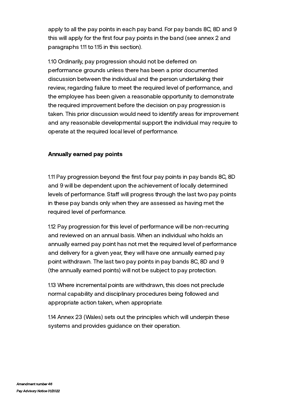apply to all the pay points in each pay band. For pay bands 8C, 8D and 9 this will apply for the first four pay points in the band (see annex 2 and paragraphs 1.11 to 1.15 in this section).

1.10 Ordinarily, pay progression should not be deferred on performance grounds unless there has been a prior documented discussion between the individual and the person undertaking their review, regarding failure to meet the required level of performance, and the employee has been given a reasonable opportunity to demonstrate the required improvement before the decision on pay progression is taken. This prior discussion would need to identify areas for improvement and any reasonable developmental support the individual may require to operate at the required local level of performance.

#### Annually earned pay points

1.11 Pay progression beyond the first four pay points in pay bands 8C, 8D and 9 will be dependent upon the achievement of locally determined levels of performance. Staff will progress through the last two pay points in these pay bands only when they are assessed as having met the required level of performance.

1.12 Pay progression for this level of performance will be non-recurring and reviewed on an annual basis. When an individual who holds an annually earned pay point has not met the required level of performance and delivery for a given year, they will have one annually earned pay point withdrawn. The last two pay points in pay bands 8C, 8D and 9 (the annually earned points) will not be subject to pay protection.

1.13 Where incremental points are withdrawn, this does not preclude normal capability and disciplinary procedures being followed and appropriate action taken, when appropriate.

1.14 Annex 23 (Wales) sets out the principles which will underpin these systems and provides guidance on their operation.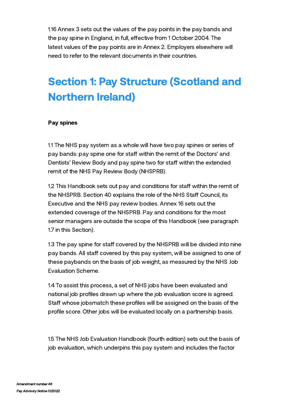1.16 Annex 3 sets out the values of the pay points in the pay bands and the pay spine in England, in full, effective from 1 October 2004. The latest values of the pay points are in Annex 2. Employers elsewhere will need to refer to the relevant documents in their countries.

# Section 1: Pay Structure (Scotland and Northern Ireland)

#### Pay spines

1.1 The NHS pay system as a whole will have two pay spines or series of pay bands: pay spine one for staff within the remit of the Doctors' and Dentists' Review Body and pay spine two for staff within the extended remit of the NHS Pay Review Body (NHSPRB).

1.2 This Handbook sets out pay and conditions for staff within the remit of the NHSPRB. Section 40 explains the role of the NHS Staff Council, its Executive and the NHS pay review bodies. Annex 16 sets out the extended coverage of the NHSPRB. Pay and conditions for the most senior managers are outside the scope of this Handbook (see paragraph 1.7 in this Section).

1.3 The pay spine for staff covered by the NHSPRB will be divided into nine pay bands. All staff covered by this pay system, will be assigned to one of these paybands on the basis of job weight, as measured by the NHS Job Evaluation Scheme.

1.4 To assist this process, a set of NHS jobs have been evaluated and national job profiles drawn up where the job evaluation score is agreed. Staff whose jobsmatch these profiles will be assigned on the basis of the profile score. Other jobs will be evaluated locally on a partnership basis.

1.5 The NHS Job Evaluation [Handbook](https://www.nhsemployers.org/publications/nhs-job-evaluation-handbook) (fourth edition) sets out the basis of job evaluation, which underpins this pay system and includes the factor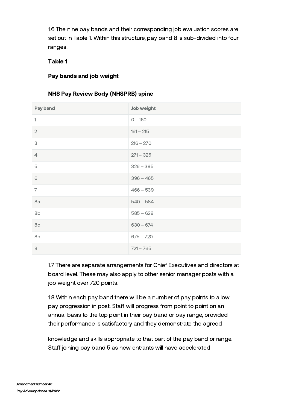1.6 The nine pay bands and their corresponding job evaluation scores are set out in Table 1. Within this structure, pay band 8 is sub-divided into four ranges.

# Table 1

# Pay bands and job weight

# NHS Pay Review Body (NHSPRB) spine

| Pay band       | Job weight  |
|----------------|-------------|
| 1              | $0 - 160$   |
| $\mathbf{2}$   | $161 - 215$ |
| 3              | $216 - 270$ |
| $\overline{4}$ | $271 - 325$ |
| 5              | $326 - 395$ |
| 6              | $396 - 465$ |
| 7              | $466 - 539$ |
| 8a             | $540 - 584$ |
| 8b             | $585 - 629$ |
| 8c             | $630 - 674$ |
| 8d             | $675 - 720$ |
| $\Theta$       | $721 - 765$ |

1.7 There are separate arrangements for Chief Executives and directors at board level. These may also apply to other senior manager posts with a job weight over 720 points.

1.8 Within each pay band there will be a number of pay points to allow pay progression in post. Staff will progress from point to point on an annual basis to the top point in their pay band or pay range, provided their performance is satisfactory and they demonstrate the agreed

knowledge and skills appropriate to that part of the pay band or range. Staff joining pay band 5 as new entrants will have accelerated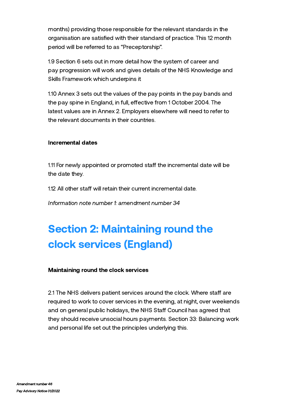months) providing those responsible for the relevant standards in the organisation are satisfied with their standard of practice. This 12 month period will be referred to as "Preceptorship".

1.9 Section 6 sets out in more detail how the system of career and pay progression will work and gives details of the NHS Knowledge and Skills Framework which underpins it

1.10 Annex 3 sets out the values of the pay points in the pay bands and the pay spine in England, in full, effective from 1 October 2004. The latest values are in Annex 2. Employers elsewhere will need to refer to the relevant documents in their countries.

#### Incremental dates

1.11 For newly appointed or promoted staff the incremental date will be the date they.

1.12 All other staff will retain their current incremental date.

Information note number 1: amendment number 34

# Section 2: Maintaining round the clock services (England)

#### Maintaining round the clock services

2.1 The NHS delivers patient services around the clock. Where staff are required to work to cover services in the evening, at night, over weekends and on general public holidays, the NHS Staff Council has agreed that they should receive unsocial hours payments. Section 33: Balancing work and personal life set out the principles underlying this.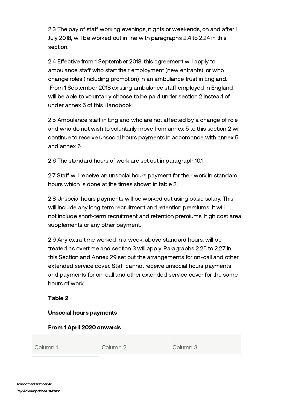2.3 The pay of staff working evenings, nights or weekends, on and after 1 July 2018, will be worked out in line with paragraphs 2.4 to 2.24 in this section.

2.4 Effective from 1 September 2018, this agreement will apply to ambulance staff who start their employment (new entrants), or who change roles (including promotion) in an ambulance trust in England. From 1 September 2018 existing ambulance staff employed in England will be able to voluntarily choose to be paid under section 2 instead of under annex 5 of this Handbook.

2.5 Ambulance staff in England who are not affected by a change of role and who do not wish to voluntarily move from annex 5 to this section 2 will continue to receive unsocial hours payments in accordance with annex 5 and annex 6.

2.6 The standard hours of work are set out in paragraph 10.1.

2.7 Staff will receive an unsocial hours payment for their work in standard hours which is done at the times shown in table 2.

2.8 Unsocial hours payments will be worked out using basic salary. This will include any long term recruitment and retention premiums. It will not include short-term recruitment and retention premiums, high cost area supplements or any other payment.

2.9 Any extra time worked in a week, above standard hours, will be treated as overtime and section 3 will apply. Paragraphs 2.25 to 2.27 in this Section and Annex 29 set out the arrangements for on-call and other extended service cover. Staff cannot receive unsocial hours payments and payments for on-call and other extended service cover for the same hours of work.

# Table 2

# Unsocial hours payments

# From 1 April 2020 onwards

|  | Column 1<br>Column 2 | Column 3 |  |
|--|----------------------|----------|--|
|--|----------------------|----------|--|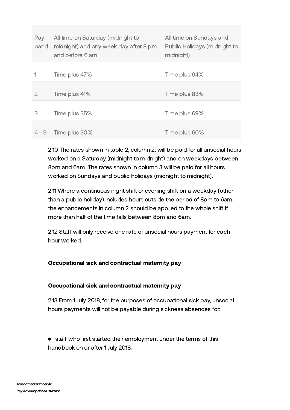| Pay<br>band | All time on Saturday (midnight to<br>midnight) and any week day after 8 pm<br>and before 6 am | All time on Sundays and<br>Public Holidays (midnight to<br>midnight) |
|-------------|-----------------------------------------------------------------------------------------------|----------------------------------------------------------------------|
|             | Time plus 47%                                                                                 | Time plus 94%                                                        |
| 2           | Time plus 41%                                                                                 | Time plus 83%                                                        |
| 3           | Time plus 35%                                                                                 | Time plus 69%                                                        |
| $4 - 9$     | Time plus 30%                                                                                 | Time plus 60%                                                        |

2.10 The rates shown in table 2, column 2, will be paid for all unsocial hours worked on a Saturday (midnight to midnight) and on weekdays between 8pm and 6am. The rates shown in column 3 will be paid for all hours worked on Sundays and public holidays (midnight to midnight).

2.11 Where a continuous night shift or evening shift on a weekday (other than a public holiday) includes hours outside the period of 8pm to 6am, the enhancements in column 2 should be applied to the whole shift if more than half of the time falls between 8pm and 6am.

2.12 Staff will only receive one rate of unsocial hours payment for each hour worked.

# Occupational sick and contractual maternity pay

# Occupational sick and contractual maternity pay

2.13 From 1 July 2018, for the purposes of occupational sick pay, unsocial hours payments will not be payable during sickness absences for:

• staff who first started their employment under the terms of this handbook on or after 1 July 2018.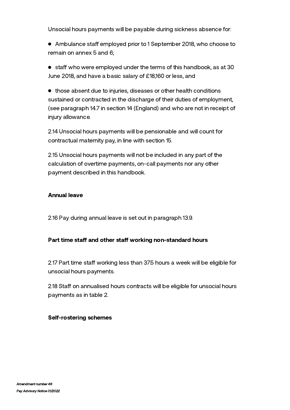Unsocial hours payments will be payable during sickness absence for:

• Ambulance staff employed prior to 1 September 2018, who choose to remain on annex 5 and 6;

 $\bullet$  staff who were employed under the terms of this handbook, as at 30 June 2018, and have a basic salary of £18,160 or less, and

those absent due to injuries, diseases or other health conditions sustained or contracted in the discharge of their duties of employment, (see paragraph 14.7 in section 14 (England) and who are not in receipt of injury allowance.

2.14 Unsocial hours payments will be pensionable and will count for contractual maternity pay, in line with section 15.

2.15 Unsocial hours payments will not be included in any part of the calculation of overtime payments, on-call payments nor any other payment described in this handbook.

#### Annual leave

2.16 Pay during annual leave is set out in paragraph 13.9.

#### Part time staff and other staff working non-standard hours

2.17 Part time staff working less than 37.5 hours a week will be eligible for unsocial hours payments.

2.18 Staff on annualised hours contracts will be eligible for unsocial hours payments as in table 2.

#### Self-rostering schemes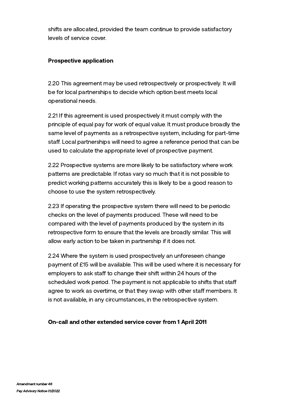shifts are allocated, provided the team continue to provide satisfactory levels of service cover.

# Prospective application

2.20 This agreement may be used retrospectively or prospectively. It will be for local partnerships to decide which option best meets local operational needs.

2.21 If this agreement is used prospectively it must comply with the principle of equal pay for work of equal value. It must produce broadly the same level of payments as a retrospective system, including for part-time staff. Local partnerships will need to agree a reference period that can be used to calculate the appropriate level of prospective payment.

2.22 Prospective systems are more likely to be satisfactory where work patterns are predictable. If rotas vary so much that it is not possible to predict working patterns accurately this is likely to be a good reason to choose to use the system retrospectively.

2.23 If operating the prospective system there will need to be periodic checks on the level of payments produced. These will need to be compared with the level of payments produced by the system in its retrospective form to ensure that the levels are broadly similar. This will allow early action to be taken in partnership if it does not.

2.24 Where the system is used prospectively an unforeseen change payment of £15 will be available. This will be used where it is necessary for employers to ask staff to change their shift within 24 hours of the scheduled work period. The payment is not applicable to shifts that staff agree to work as overtime, or that they swap with other staff members. It is not available, in any circumstances, in the retrospective system.

# On-call and other extended service cover from 1 April 2011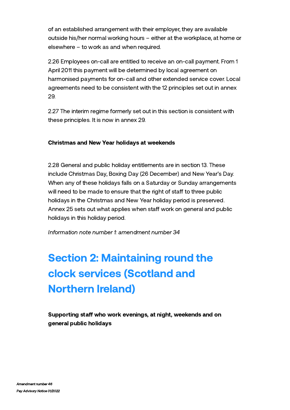of an established arrangement with their employer, they are available outside his/her normal working hours – either at the workplace, at home or elsewhere – to work as and when required.

2.26 Employees on-call are entitled to receive an on-call payment. From 1 April 2011 this payment will be determined by local agreement on harmonised payments for on-call and other extended service cover. Local agreements need to be consistent with the 12 principles set out in annex 29.

2.27 The interim regime formerly set out in this section is consistent with these principles. It is now in annex 29.

# Christmas and New Year holidays at weekends

2.28 General and public holiday entitlements are in section 13. These include Christmas Day, Boxing Day (26 December) and New Year's Day. When any of these holidays falls on a Saturday or Sunday arrangements will need to be made to ensure that the right of staff to three public holidays in the Christmas and New Year holiday period is preserved. Annex 25 sets out what applies when staff work on general and public holidays in this holiday period.

Information note number 1: amendment number 34

# Section 2: Maintaining round the clock services (Scotland and Northern Ireland)

Supporting staff who work evenings, at night, weekends and on general public holidays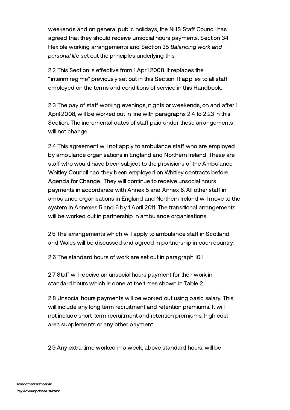weekends and on general public holidays, the NHS Staff Council has agreed that they should receive unsocial hours payments. Section 34 Flexible working arrangements and Section 35 Balancing work and personal life set out the principles underlying this.

2.2 This Section is effective from 1 April 2008. It replaces the "interim regime" previously set out in this Section. It applies to all sta employed on the terms and conditions of service in this Handbook.

2.3 The pay of staff working evenings, nights or weekends, on and after 1 April 2008, will be worked out in line with paragraphs 2.4 to 2.23 in this Section. The incremental dates of staff paid under these arrangements will not change.

2.4 This agreement will not apply to ambulance staff who are employed by ambulance organisations in England and Northern Ireland. These are staff who would have been subject to the provisions of the Ambulance Whitley Council had they been employed on Whitley contracts before Agenda for Change. They will continue to receive unsocial hours payments in accordance with Annex 5 and Annex 6. All other staff in ambulance organisations in England and Northern Ireland will move to the system in Annexes 5 and 6 by 1 April 2011. The transitional arrangements will be worked out in partnership in ambulance organisations.

2.5 The arrangements which will apply to ambulance staff in Scotland and Wales will be discussed and agreed in partnership in each country.

2.6 The standard hours of work are set out in paragraph 10.1.

2.7 Staff will receive an unsocial hours payment for their work in standard hours which is done at the times shown in Table 2.

2.8 Unsocial hours payments will be worked out using basic salary. This will include any long term recruitment and retention premiums. It will not include short-term recruitment and retention premiums, high cost area supplements or any other payment.

2.9 Any extra time worked in a week, above standard hours, will be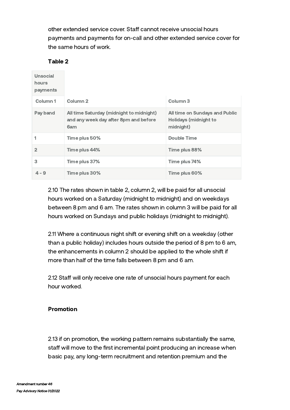other extended service cover. Staff cannot receive unsocial hours payments and payments for on-call and other extended service cover for the same hours of work.

# Table 2

| Unsocial<br>hours<br>payments |                                                                                          |                                                                      |
|-------------------------------|------------------------------------------------------------------------------------------|----------------------------------------------------------------------|
| Column <sub>1</sub>           | Column <sub>2</sub>                                                                      | Column 3                                                             |
| Pay band                      | All time Saturday (midnight to midnight)<br>and any week day after 8pm and before<br>6am | All time on Sundays and Public<br>Holidays (midnight to<br>midnight) |
|                               | Time plus 50%                                                                            | Double Time                                                          |
| $\overline{2}$                | Time plus 44%                                                                            | Time plus 88%                                                        |
| 3                             | Time plus 37%                                                                            | Time plus 74%                                                        |
| $4 - 9$                       | Time plus 30%                                                                            | Time plus 60%                                                        |

2.10 The rates shown in table 2, column 2, will be paid for all unsocial hours worked on a Saturday (midnight to midnight) and on weekdays between 8 pm and 6 am. The rates shown in column 3 will be paid for all hours worked on Sundays and public holidays (midnight to midnight).

2.11 Where a continuous night shift or evening shift on a weekday (other than a public holiday) includes hours outside the period of 8 pm to 6 am, the enhancements in column 2 should be applied to the whole shift if more than half of the time falls between 8 pm and 6 am.

2.12 Staff will only receive one rate of unsocial hours payment for each hour worked.

# Promotion

2.13 if on promotion, the working pattern remains substantially the same, staff will move to the first incremental point producing an increase when basic pay, any long-term recruitment and retention premium and the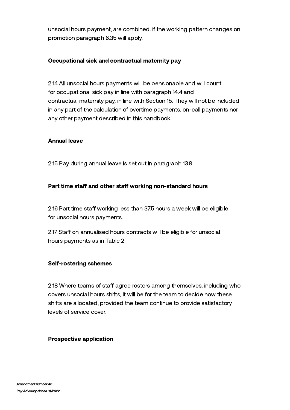unsocial hours payment, are combined. if the working pattern changes on promotion paragraph 6.35 will apply.

# Occupational sick and contractual maternity pay

2.14 All unsocial hours payments will be pensionable and will count for occupational sick pay in line with paragraph 14.4 and contractual maternity pay, in line with Section 15. They will not be included in any part of the calculation of overtime payments, on-call payments nor any other payment described in this handbook.

#### Annual leave

2.15 Pay during annual leave is set out in paragraph 13.9.

# Part time staff and other staff working non-standard hours

2.16 Part time staff working less than 37.5 hours a week will be eligible for unsocial hours payments.

2.17 Staff on annualised hours contracts will be eligible for unsocial hours payments as in Table 2.

# Self-rostering schemes

2.18 Where teams of staff agree rosters among themselves, including who covers unsocial hours shifts, it will be for the team to decide how these shifts are allocated, provided the team continue to provide satisfactory levels of service cover.

#### Prospective application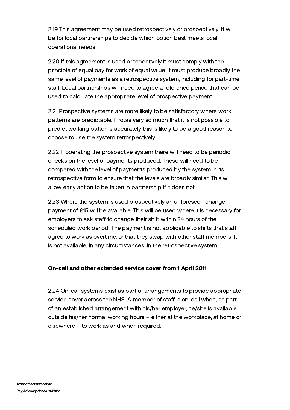2.19 This agreement may be used retrospectively or prospectively. It will be for local partnerships to decide which option best meets local operational needs.

2.20 If this agreement is used prospectively it must comply with the principle of equal pay for work of equal value. It must produce broadly the same level of payments as a retrospective system, including for part-time staff. Local partnerships will need to agree a reference period that can be used to calculate the appropriate level of prospective payment.

2.21 Prospective systems are more likely to be satisfactory where work patterns are predictable. If rotas vary so much that it is not possible to predict working patterns accurately this is likely to be a good reason to choose to use the system retrospectively.

2.22 If operating the prospective system there will need to be periodic checks on the level of payments produced. These will need to be compared with the level of payments produced by the system in its retrospective form to ensure that the levels are broadly similar. This will allow early action to be taken in partnership if it does not.

2.23 Where the system is used prospectively an unforeseen change payment of £15 will be available. This will be used where it is necessary for employers to ask staff to change their shift within 24 hours of the scheduled work period. The payment is not applicable to shifts that staff agree to work as overtime, or that they swap with other staff members. It is not available, in any circumstances, in the retrospective system.

#### On-call and other extended service cover from 1 April 2011

2.24 On-call systems exist as part of arrangements to provide appropriate service cover across the NHS. A member of staff is on-call when, as part of an established arrangement with his/her employer, he/she is available outside his/her normal working hours – either at the workplace, at home or elsewhere – to work as and when required.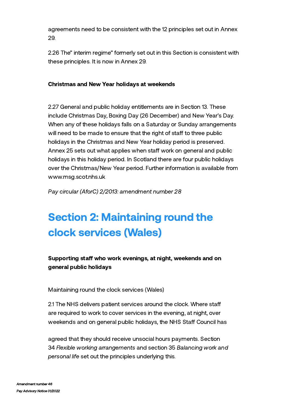agreements need to be consistent with the 12 principles set out in Annex 29.

2.26 The" interim regime" formerly set out in this Section is consistent with these principles. It is now in Annex 29.

# Christmas and New Year holidays at weekends

2.27 General and public holiday entitlements are in Section 13. These include Christmas Day, Boxing Day (26 December) and New Year's Day. When any of these holidays falls on a Saturday or Sunday arrangements will need to be made to ensure that the right of staff to three public holidays in the Christmas and New Year holiday period is preserved. Annex 25 sets out what applies when staff work on general and public holidays in this holiday period. In Scotland there are four public holidays over the Christmas/New Year period. Further information is available from [www.msg.scot.nhs.uk](https://www.msg.scot.nhs.uk/)

Pay circular (AforC) 2/2013: amendment number 28

# Section 2: Maintaining round the clock services (Wales)

Supporting staff who work evenings, at night, weekends and on general public holidays

Maintaining round the clock services (Wales)

2.1 The NHS delivers patient services around the clock. Where sta are required to work to cover services in the evening, at night, over weekends and on general public holidays, the NHS Staff Council has

agreed that they should receive unsocial hours payments. Section 34 Flexible working arrangements and section 35 Balancing work and personal life set out the principles underlying this.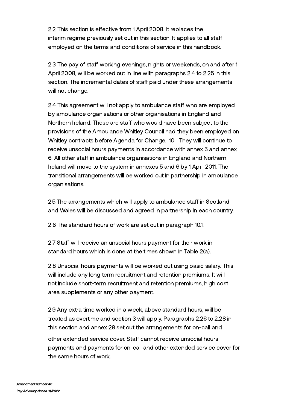2.2 This section is effective from 1 April 2008. It replaces the interim regime previously set out in this section. It applies to all sta employed on the terms and conditions of service in this handbook.

2.3 The pay of staff working evenings, nights or weekends, on and after 1 April 2008, will be worked out in line with paragraphs 2.4 to 2.25 in this section. The incremental dates of staff paid under these arrangements will not change.

2.4 This agreement will not apply to ambulance staff who are employed by ambulance organisations or other organisations in England and Northern Ireland. These are staff who would have been subject to the provisions of the Ambulance Whitley Council had they been employed on Whitley contracts before Agenda for Change. [10](#page-50-0) They will continue to receive unsocial hours payments in accordance with annex 5 and annex 6. All other staff in ambulance organisations in England and Northern Ireland will move to the system in annexes 5 and 6 by 1 April 2011. The transitional arrangements will be worked out in partnership in ambulance organisations.

2.5 The arrangements which will apply to ambulance staff in Scotland and Wales will be discussed and agreed in partnership in each country.

2.6 The standard hours of work are set out in paragraph 10.1.

2.7 Staff will receive an unsocial hours payment for their work in standard hours which is done at the times shown in Table 2(a).

2.8 Unsocial hours payments will be worked out using basic salary. This will include any long term recruitment and retention premiums. It will not include short-term recruitment and retention premiums, high cost area supplements or any other payment.

2.9 Any extra time worked in a week, above standard hours, will be treated as overtime and section 3 will apply. Paragraphs 2.26 to 2.28 in this section and annex 29 set out the arrangements for on-call and

other extended service cover. Staff cannot receive unsocial hours payments and payments for on-call and other extended service cover for the same hours of work.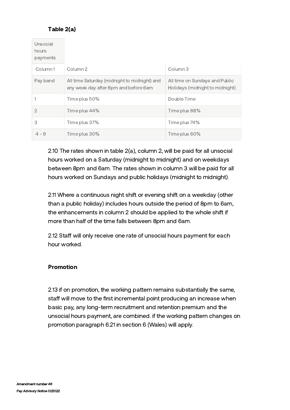# Table 2(a)

| Unsocial<br>hours<br>payments |                                                                                       |                                                                   |
|-------------------------------|---------------------------------------------------------------------------------------|-------------------------------------------------------------------|
| Column1                       | Column <sub>2</sub>                                                                   | Column 3                                                          |
| Pay band                      | All time Saturday (midnight to midnight) and<br>any week day after 8pm and before 6am | All time on Sundays and Public<br>Holidays (midnight to midnight) |
|                               | Time plus 50%                                                                         | Double Time                                                       |
| $\mathfrak{D}$                | Time plus 44%                                                                         | Time plus 88%                                                     |
| 3                             | Time plus 37%                                                                         | Time plus 74%                                                     |
| $4 - 9$                       | Time plus 30%                                                                         | Time plus 60%                                                     |

2.10 The rates shown in table 2(a), column 2, will be paid for all unsocial hours worked on a Saturday (midnight to midnight) and on weekdays between 8pm and 6am. The rates shown in column 3 will be paid for all hours worked on Sundays and public holidays (midnight to midnight).

2.11 Where a continuous night shift or evening shift on a weekday (other than a public holiday) includes hours outside the period of 8pm to 6am, the enhancements in column 2 should be applied to the whole shift if more than half of the time falls between 8pm and 6am.

2.12 Staff will only receive one rate of unsocial hours payment for each hour worked.

#### Promotion

2.13 if on promotion, the working pattern remains substantially the same, staff will move to the first incremental point producing an increase when basic pay, any long-term recruitment and retention premium and the unsocial hours payment, are combined. if the working pattern changes on promotion paragraph 6.21 in section 6 (Wales) will apply.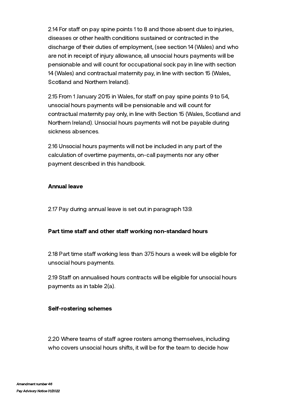2.14 For staff on pay spine points 1 to 8 and those absent due to injuries, diseases or other health conditions sustained or contracted in the discharge of their duties of employment, (see section 14 (Wales) and who are not in receipt of injury allowance, all unsocial hours payments will be pensionable and will count for occupational sock pay in line with section 14 (Wales) and contractual maternity pay, in line with section 15 (Wales, Scotland and Northern Ireland).

2.15 From 1 January 2015 in Wales, for staff on pay spine points 9 to 54, unsocial hours payments will be pensionable and will count for contractual maternity pay only, in line with Section 15 (Wales, Scotland and Northern Ireland). Unsocial hours payments will not be payable during sickness absences.

2.16 Unsocial hours payments will not be included in any part of the calculation of overtime payments, on-call payments nor any other payment described in this handbook.

#### Annual leave

2.17 Pay during annual leave is set out in paragraph 13.9.

# Part time staff and other staff working non-standard hours

2.18 Part time staff working less than 37.5 hours a week will be eligible for unsocial hours payments.

2.19 Staff on annualised hours contracts will be eligible for unsocial hours payments as in table 2(a).

#### Self-rostering schemes

2.20 Where teams of staff agree rosters among themselves, including who covers unsocial hours shifts, it will be for the team to decide how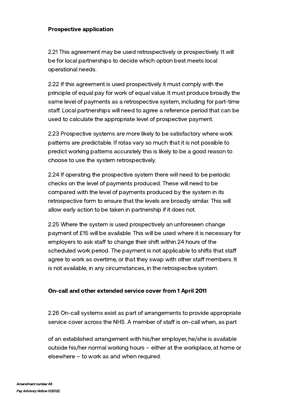#### Prospective application

2.21 This agreement may be used retrospectively or prospectively. It will be for local partnerships to decide which option best meets local operational needs.

2.22 If this agreement is used prospectively it must comply with the principle of equal pay for work of equal value. It must produce broadly the same level of payments as a retrospective system, including for part-time staff. Local partnerships will need to agree a reference period that can be used to calculate the appropriate level of prospective payment.

2.23 Prospective systems are more likely to be satisfactory where work patterns are predictable. If rotas vary so much that it is not possible to predict working patterns accurately this is likely to be a good reason to choose to use the system retrospectively.

2.24 If operating the prospective system there will need to be periodic checks on the level of payments produced. These will need to be compared with the level of payments produced by the system in its retrospective form to ensure that the levels are broadly similar. This will allow early action to be taken in partnership if it does not.

2.25 Where the system is used prospectively an unforeseen change payment of £15 will be available. This will be used where it is necessary for employers to ask staff to change their shift within 24 hours of the scheduled work period. The payment is not applicable to shifts that staff agree to work as overtime, or that they swap with other staff members. It is not available, in any circumstances, in the retrospective system.

#### On-call and other extended service cover from 1 April 2011

2.26 On-call systems exist as part of arrangements to provide appropriate service cover across the NHS. A member of staff is on-call when, as part

of an established arrangement with his/her employer, he/she is available outside his/her normal working hours – either at the workplace, at home or elsewhere – to work as and when required.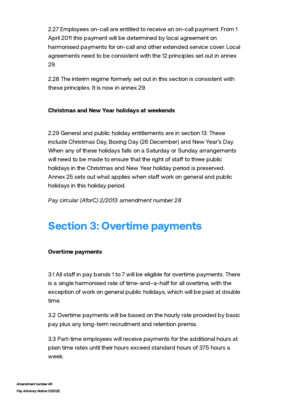2.27 Employees on-call are entitled to receive an on-call payment. From 1 April 2011 this payment will be determined by local agreement on harmonised payments for on-call and other extended service cover. Local agreements need to be consistent with the 12 principles set out in annex 29.

2.28 The interim regime formerly set out in this section is consistent with these principles. It is now in annex 29.

# Christmas and New Year holidays at weekends

2.29 General and public holiday entitlements are in section 13. These include Christmas Day, Boxing Day (26 December) and New Year's Day. When any of these holidays falls on a Saturday or Sunday arrangements will need to be made to ensure that the right of staff to three public holidays in the Christmas and New Year holiday period is preserved. Annex 25 sets out what applies when staff work on general and public holidays in this holiday period.

Pay circular (AforC) 2/2013: amendment number 28

# Section 3: Overtime payments

# Overtime payments

3.1 All staff in pay bands 1 to 7 will be eligible for overtime payments. There is a single harmonised rate of time-and–a-half for all overtime, with the exception of work on general public holidays, which will be paid at double time.

3.2 Overtime payments will be based on the hourly rate provided by basic pay plus any long-term recruitment and retention premia.

3.3 Part-time employees will receive payments for the additional hours at plain time rates until their hours exceed standard hours of 37.5 hours a week.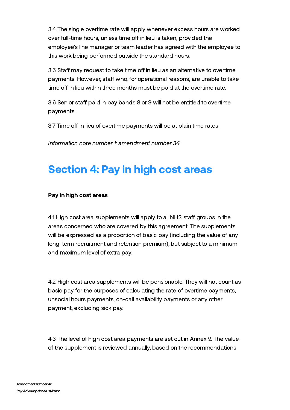3.4 The single overtime rate will apply whenever excess hours are worked over full-time hours, unless time off in lieu is taken, provided the employee's line manager or team leader has agreed with the employee to this work being performed outside the standard hours.

3.5 Staff may request to take time off in lieu as an alternative to overtime payments. However, staff who, for operational reasons, are unable to take time off in lieu within three months must be paid at the overtime rate.

3.6 Senior staff paid in pay bands 8 or 9 will not be entitled to overtime payments.

3.7 Time off in lieu of overtime payments will be at plain time rates.

Information note number 1: amendment number 34

# Section 4: Pay in high cost areas

#### Pay in high cost areas

4.1 High cost area supplements will apply to all NHS staff groups in the areas concerned who are covered by this agreement. The supplements will be expressed as a proportion of basic pay (including the value of any long-term recruitment and retention premium), but subject to a minimum and maximum level of extra pay.

4.2 High cost area supplements will be pensionable. They will not count as basic pay for the purposes of calculating the rate of overtime payments, unsocial hours payments, on-call availability payments or any other payment, excluding sick pay.

4.3 The level of high cost area payments are set out in Annex 9. The value of the supplement is reviewed annually, based on the recommendations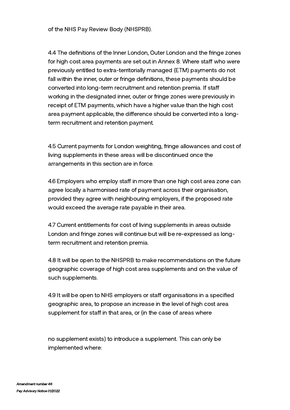of the NHS Pay Review Body (NHSPRB).

4.4 The definitions of the Inner London, Outer London and the fringe zones for high cost area payments are set out in Annex 8. Where staff who were previously entitled to extra-territorially managed (ETM) payments do not fall within the inner, outer or fringe definitions, these payments should be converted into long-term recruitment and retention premia. If sta working in the designated inner, outer or fringe zones were previously in receipt of ETM payments, which have a higher value than the high cost area payment applicable, the difference should be converted into a longterm recruitment and retention payment.

4.5 Current payments for London weighting, fringe allowances and cost of living supplements in these areas will be discontinued once the arrangements in this section are in force.

4.6 Employers who employ staff in more than one high cost area zone can agree locally a harmonised rate of payment across their organisation, provided they agree with neighbouring employers, if the proposed rate would exceed the average rate payable in their area.

4.7 Current entitlements for cost of living supplements in areas outside London and fringe zones will continue but will be re-expressed as longterm recruitment and retention premia.

4.8 It will be open to the NHSPRB to make recommendations on the future geographic coverage of high cost area supplements and on the value of such supplements.

4.9 It will be open to NHS employers or staff organisations in a specified geographic area, to propose an increase in the level of high cost area supplement for staff in that area, or (in the case of areas where

no supplement exists) to introduce a supplement. This can only be implemented where: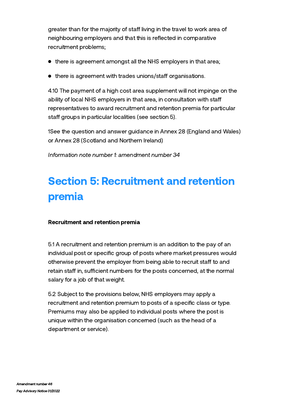greater than for the majority of staff living in the travel to work area of neighbouring employers and that this is reflected in comparative recruitment problems;

- there is agreement amongst all the NHS employers in that area;
- $\bullet$  there is agreement with trades unions/staff organisations.

4.10 The payment of a high cost area supplement will not impinge on the ability of local NHS employers in that area, in consultation with staff representatives to award recruitment and retention premia for particular staff groups in particular localities (see section 5).

1See the question and answer guidance in Annex 28 (England and Wales) or Annex 28 (Scotland and Northern Ireland)

Information note number 1: amendment number 34

# Section 5: Recruitment and retention premia

# Recruitment and retention premia

5.1 A recruitment and retention premium is an addition to the pay of an individual post or specific group of posts where market pressures would otherwise prevent the employer from being able to recruit staff to and retain staff in, sufficient numbers for the posts concerned, at the normal salary for a job of that weight.

5.2 Subject to the provisions below, NHS employers may apply a recruitment and retention premium to posts of a specific class or type. Premiums may also be applied to individual posts where the post is unique within the organisation concerned (such as the head of a department or service).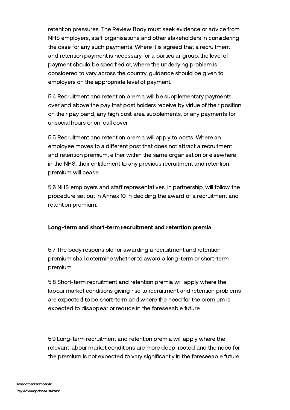retention pressures. The Review Body must seek evidence or advice from NHS employers, staff organisations and other stakeholders in considering the case for any such payments. Where it is agreed that a recruitment and retention payment is necessary for a particular group, the level of payment should be specified or, where the underlying problem is considered to vary across the country, guidance should be given to employers on the appropriate level of payment.

5.4 Recruitment and retention premia will be supplementary payments over and above the pay that post holders receive by virtue of their position on their pay band, any high cost area supplements, or any payments for unsocial hours or on-call cover.

5.5 Recruitment and retention premia will apply to posts. Where an employee moves to a different post that does not attract a recruitment and retention premium, either within the same organisation or elsewhere in the NHS, their entitlement to any previous recruitment and retention premium will cease.

5.6 NHS employers and staff representatives, in partnership, will follow the procedure set out in Annex 10 in deciding the award of a recruitment and retention premium.

# Long-term and short-term recruitment and retention premia

5.7 The body responsible for awarding a recruitment and retention premium shall determine whether to award a long-term or short-term premium.

5.8 Short-term recruitment and retention premia will apply where the labour market conditions giving rise to recruitment and retention problems are expected to be short-term and where the need for the premium is expected to disappear or reduce in the foreseeable future.

5.9 Long-term recruitment and retention premia will apply where the relevant labour market conditions are more deep-rooted and the need for the premium is not expected to vary significantly in the foreseeable future.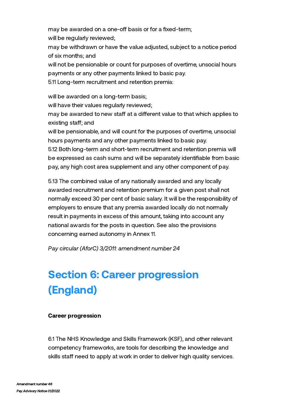may be awarded on a one-off basis or for a fixed-term; will be regularly reviewed;

may be withdrawn or have the value adjusted, subject to a notice period of six months; and

will not be pensionable or count for purposes of overtime, unsocial hours payments or any other payments linked to basic pay.

5.11 Long-term recruitment and retention premia:

will be awarded on a long-term basis;

will have their values regularly reviewed;

may be awarded to new staff at a different value to that which applies to existing staff; and

will be pensionable, and will count for the purposes of overtime, unsocial hours payments and any other payments linked to basic pay.

5.12 Both long-term and short-term recruitment and retention premia will be expressed as cash sums and will be separately identifiable from basic pay, any high cost area supplement and any other component of pay.

5.13 The combined value of any nationally awarded and any locally awarded recruitment and retention premium for a given post shall not normally exceed 30 per cent of basic salary. It will be the responsibility of employers to ensure that any premia awarded locally do not normally result in payments in excess of this amount, taking into account any national awards for the posts in question. See also the provisions concerning earned autonomy in Annex 11.

Pay circular (AforC) 3/2011: amendment number 24

# Section 6: Career progression (England)

# Career progression

6.1 The NHS [Knowledge](https://www.nhsemployers.org/sites/default/files/2021-07/The-NHS-Knowledge-and-Skills-Framework.pdf) and Skills Framework (KSF), and other relevant competency frameworks, are tools for describing the knowledge and skills staff need to apply at work in order to deliver high quality services.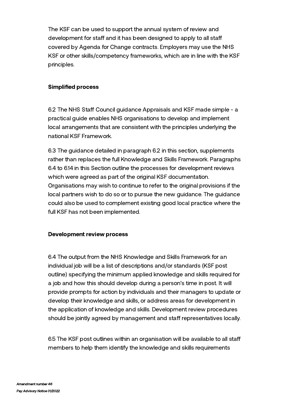The KSF can be used to support the annual system of review and development for staff and it has been designed to apply to all staff covered by Agenda for Change contracts. Employers may use the NHS KSF or other skills/competency frameworks, which are in line with the KSF principles.

#### Simplified process

6.2 The NHS Staff Council guidance Appraisals and KSF made simple - a practical guide enables NHS [organisations](https://www.nhsemployers.org/sites/default/files/2021-07/Appraisals-and-KSF-made-simple.pdf) to develop and implement local arrangements that are consistent with the principles underlying the national KSF Framework.

6.3 The guidance detailed in paragraph 6.2 in this section, supplements rather than replaces the full Knowledge and Skills Framework. Paragraphs 6.4 to 6.14 in this Section outline the processes for development reviews which were agreed as part of the original KSF documentation. Organisations may wish to continue to refer to the original provisions if the local partners wish to do so or to pursue the new guidance. The guidance could also be used to complement existing good local practice where the full KSF has not been implemented.

#### Development review process

6.4 The output from the NHS Knowledge and Skills Framework for an individual job will be a list of descriptions and/or standards (KSF post outline) specifying the minimum applied knowledge and skills required for a job and how this should develop during a person's time in post. It will provide prompts for action by individuals and their managers to update or develop their knowledge and skills, or address areas for development in the application of knowledge and skills. Development review procedures should be jointly agreed by management and staff representatives locally.

6.5 The KSF post outlines within an organisation will be available to all sta members to help them identify the knowledge and skills requirements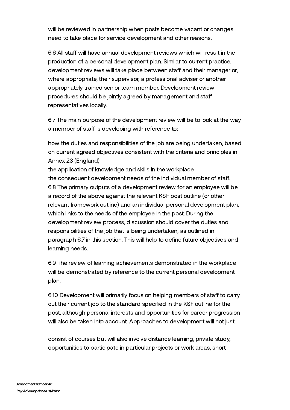will be reviewed in partnership when posts become vacant or changes need to take place for service development and other reasons.

6.6 All staff will have annual development reviews which will result in the production of a personal development plan. Similar to current practice, development reviews will take place between staff and their manager or, where appropriate, their supervisor, a professional adviser or another appropriately trained senior team member. Development review procedures should be jointly agreed by management and sta representatives locally.

6.7 The main purpose of the development review will be to look at the way a member of staff is developing with reference to:

how the duties and responsibilities of the job are being undertaken, based on current agreed objectives consistent with the criteria and principles in Annex 23 (England)

the application of knowledge and skills in the workplace the consequent development needs of the individual member of staff. 6.8 The primary outputs of a development review for an employee will be a record of the above against the relevant KSF post outline (or other relevant framework outline) and an individual personal development plan, which links to the needs of the employee in the post. During the development review process, discussion should cover the duties and responsibilities of the job that is being undertaken, as outlined in paragraph 6.7 in this section. This will help to define future objectives and learning needs.

6.9 The review of learning achievements demonstrated in the workplace will be demonstrated by reference to the current personal development plan.

6.10 Development will primarily focus on helping members of staff to carry out their current job to the standard specified in the KSF outline for the post, although personal interests and opportunities for career progression will also be taken into account. Approaches to development will not just

consist of courses but will also involve distance learning, private study, opportunities to participate in particular projects or work areas, short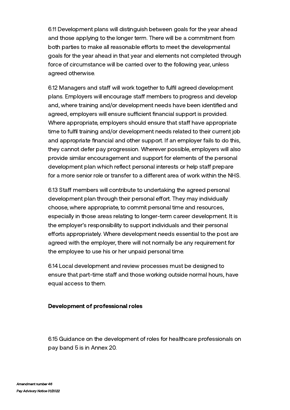6.11 Development plans will distinguish between goals for the year ahead and those applying to the longer term. There will be a commitment from both parties to make all reasonable efforts to meet the developmental goals for the year ahead in that year and elements not completed through force of circumstance will be carried over to the following year, unless agreed otherwise.

6.12 Managers and staff will work together to fulfil agreed development plans. Employers will encourage staff members to progress and develop and, where training and/or development needs have been identified and agreed, employers will ensure sufficient financial support is provided. Where appropriate, employers should ensure that staff have appropriate time to fulfil training and/or development needs related to their current job and appropriate financial and other support. If an employer fails to do this, they cannot defer pay progression. Wherever possible, employers will also provide similar encouragement and support for elements of the personal development plan which reflect personal interests or help staff prepare for a more senior role or transfer to a different area of work within the NHS.

6.13 Staff members will contribute to undertaking the agreed personal development plan through their personal effort. They may individually choose, where appropriate, to commit personal time and resources, especially in those areas relating to longer-term career development. It is the employer's responsibility to support individuals and their personal efforts appropriately. Where development needs essential to the post are agreed with the employer, there will not normally be any requirement for the employee to use his or her unpaid personal time.

6.14 Local development and review processes must be designed to ensure that part-time staff and those working outside normal hours, have equal access to them.

# Development of professional roles

6.15 Guidance on the development of roles for healthcare professionals on pay band 5 is in Annex 20.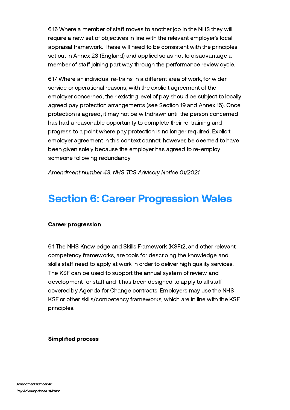6.16 Where a member of staff moves to another job in the NHS they will require a new set of objectives in line with the relevant employer's local appraisal framework. These will need to be consistent with the principles set out in Annex 23 (England) and applied so as not to disadvantage a member of staff joining part way through the performance review cycle.

6.17 Where an individual re-trains in a different area of work, for wider service or operational reasons, with the explicit agreement of the employer concerned, their existing level of pay should be subject to locally agreed pay protection arrangements (see Section 19 and Annex 15). Once protection is agreed, it may not be withdrawn until the person concerned has had a reasonable opportunity to complete their re-training and progress to a point where pay protection is no longer required. Explicit employer agreement in this context cannot, however, be deemed to have been given solely because the employer has agreed to re-employ someone following redundancy.

Amendment number 43: NHS TCS Advisory Notice 01/2021

# Section 6: Career Progression Wales

#### Career progression

6.1 The NHS Knowledge and Skills Framework (KSF)2, and other relevant competency frameworks, are tools for describing the knowledge and skills staff need to apply at work in order to deliver high quality services. The KSF can be used to support the annual system of review and development for staff and it has been designed to apply to all staff covered by Agenda for Change contracts. Employers may use the NHS KSF or other skills/competency frameworks, which are in line with the KSF principles.

#### Simplified process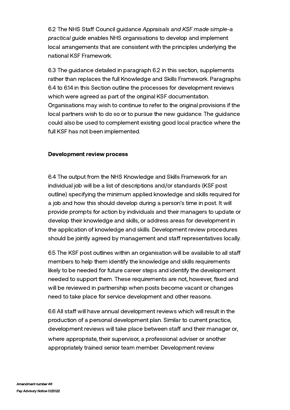6.2 The NHS Staff Council quidance Appraisals and KSF made simple-a practical guide enables NHS [organisations](http://manage.nhsemployers.rippleffect.uk.com/your-workforce/retain-and-improve/managing-your-workforce/appraisals/appraisal-tools-and-tips) to develop and implement local arrangements that are consistent with the principles underlying the national KSF Framework.

6.3 The guidance detailed in paragraph 6.2 in this section, supplements rather than replaces the full Knowledge and Skills Framework. Paragraphs 6.4 to 6.14 in this Section outline the processes for development reviews which were agreed as part of the original KSF documentation. Organisations may wish to continue to refer to the original provisions if the local partners wish to do so or to pursue the new guidance. The guidance could also be used to complement existing good local practice where the full KSF has not been implemented.

#### Development review process

6.4 The output from the NHS Knowledge and Skills Framework for an individual job will be a list of descriptions and/or standards (KSF post outline) specifying the minimum applied knowledge and skills required for a job and how this should develop during a person's time in post. It will provide prompts for action by individuals and their managers to update or develop their knowledge and skills, or address areas for development in the application of knowledge and skills. Development review procedures should be jointly agreed by management and staff representatives locally.

6.5 The KSF post outlines within an organisation will be available to all sta members to help them identify the knowledge and skills requirements likely to be needed for future career steps and identify the development needed to support them. These requirements are not, however, fixed and will be reviewed in partnership when posts become vacant or changes need to take place for service development and other reasons.

6.6 All staff will have annual development reviews which will result in the production of a personal development plan. Similar to current practice, development reviews will take place between staff and their manager or, where appropriate, their supervisor, a professional adviser or another appropriately trained senior team member. Development review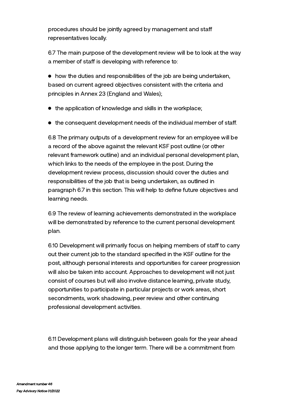procedures should be jointly agreed by management and sta representatives locally.

6.7 The main purpose of the development review will be to look at the way a member of staff is developing with reference to:

how the duties and responsibilities of the job are being undertaken, based on current agreed objectives consistent with the criteria and principles in Annex 23 (England and Wales);

- the application of knowledge and skills in the workplace;
- $\bullet$  the consequent development needs of the individual member of staff.

6.8 The primary outputs of a development review for an employee will be a record of the above against the relevant KSF post outline (or other relevant framework outline) and an individual personal development plan, which links to the needs of the employee in the post. During the development review process, discussion should cover the duties and responsibilities of the job that is being undertaken, as outlined in paragraph 6.7 in this section. This will help to define future objectives and learning needs.

6.9 The review of learning achievements demonstrated in the workplace will be demonstrated by reference to the current personal development plan.

6.10 Development will primarily focus on helping members of staff to carry out their current job to the standard specified in the KSF outline for the post, although personal interests and opportunities for career progression will also be taken into account. Approaches to development will not just consist of courses but will also involve distance learning, private study, opportunities to participate in particular projects or work areas, short secondments, work shadowing, peer review and other continuing professional development activities.

6.11 Development plans will distinguish between goals for the year ahead and those applying to the longer term. There will be a commitment from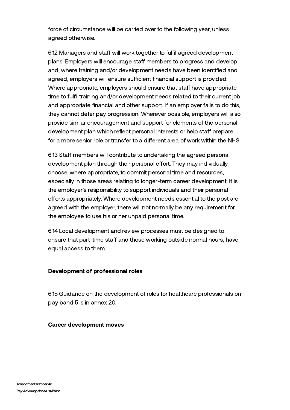force of circumstance will be carried over to the following year, unless agreed otherwise.

6.12 Managers and staff will work together to fulfil agreed development plans. Employers will encourage staff members to progress and develop and, where training and/or development needs have been identified and agreed, employers will ensure sufficient financial support is provided. Where appropriate, employers should ensure that staff have appropriate time to fulfil training and/or development needs related to their current job and appropriate financial and other support. If an employer fails to do this, they cannot defer pay progression. Wherever possible, employers will also provide similar encouragement and support for elements of the personal development plan which reflect personal interests or help staff prepare for a more senior role or transfer to a different area of work within the NHS.

6.13 Staff members will contribute to undertaking the agreed personal development plan through their personal effort. They may individually choose, where appropriate, to commit personal time and resources, especially in those areas relating to longer-term career development. It is the employer's responsibility to support individuals and their personal efforts appropriately. Where development needs essential to the post are agreed with the employer, there will not normally be any requirement for the employee to use his or her unpaid personal time.

6.14 Local development and review processes must be designed to ensure that part-time staff and those working outside normal hours, have equal access to them.

# Development of professional roles

6.15 Guidance on the development of roles for healthcare professionals on pay band 5 is in annex 20.

#### Career development moves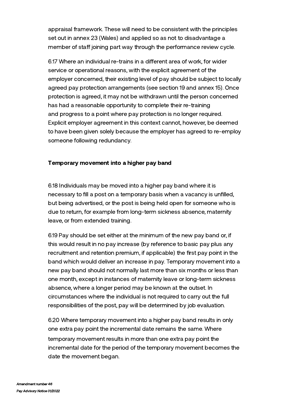appraisal framework. These will need to be consistent with the principles set out in annex 23 (Wales) and applied so as not to disadvantage a member of staff joining part way through the performance review cycle.

6.17 Where an individual re-trains in a different area of work, for wider service or operational reasons, with the explicit agreement of the employer concerned, their existing level of pay should be subject to locally agreed pay protection arrangements (see section 19 and annex 15). Once protection is agreed, it may not be withdrawn until the person concerned has had a reasonable opportunity to complete their re-training and progress to a point where pay protection is no longer required. Explicit employer agreement in this context cannot, however, be deemed to have been given solely because the employer has agreed to re-employ someone following redundancy.

#### Temporary movement into a higher pay band

6.18 Individuals may be moved into a higher pay band where it is necessary to fill a post on a temporary basis when a vacancy is unfilled, but being advertised, or the post is being held open for someone who is due to return, for example from long-term sickness absence, maternity leave, or from extended training.

6.19 Pay should be set either at the minimum of the new pay band or, if this would result in no pay increase (by reference to basic pay plus any recruitment and retention premium, if applicable) the first pay point in the band which would deliver an increase in pay. Temporary movement into a new pay band should not normally last more than six months or less than one month, except in instances of maternity leave or long-term sickness absence, where a longer period may be known at the outset. In circumstances where the individual is not required to carry out the full responsibilities of the post, pay will be determined by job evaluation.

6.20 Where temporary movement into a higher pay band results in only one extra pay point the incremental date remains the same. Where temporary movement results in more than one extra pay point the incremental date for the period of the temporary movement becomes the date the movement began.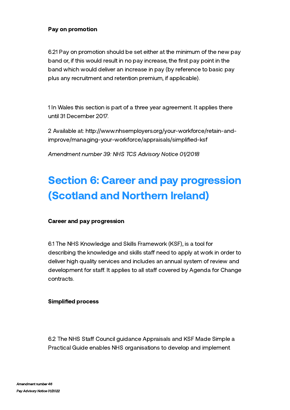#### Pay on promotion

6.21 Pay on promotion should be set either at the minimum of the new pay band or, if this would result in no pay increase, the first pay point in the band which would deliver an increase in pay (by reference to basic pay plus any recruitment and retention premium, if applicable).

1 In Wales this section is part of a three year agreement. It applies there until 31 December 2017.

2 Available at: http://www.nhsemployers.org/your-workforce/retain-and[improve/managing-your-workforce/appraisals/simplified-ksf](http://www.nhsemployers.org/your-workforce/retain-and-improve/managing-your-workforce/appraisals/simplified-ksf)

Amendment number 39: NHS TCS Advisory Notice 01/2018

# Section 6: Career and pay progression (Scotland and Northern Ireland)

#### Career and pay progression

6.1 The NHS [Knowledge](http://www.ksf.scot.nhs.uk/) and Skills Framework (KSF), is a tool for describing the knowledge and skills staff need to apply at work in order to deliver high quality services and includes an annual system of review and development for staff. It applies to all staff covered by Agenda for Change contracts.

#### Simplified process

6.2 The NHS Staff Council guidance Appraisals and KSF Made Simple a Practical Guide enables NHS organisations to develop and implement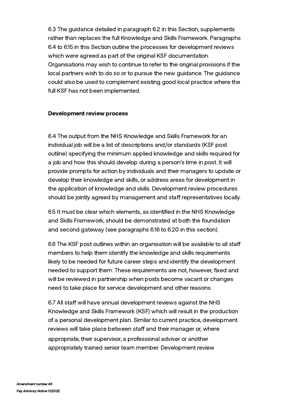6.3 The guidance detailed in paragraph 6.2 in this Section, supplements rather than replaces the full Knowledge and Skills Framework. Paragraphs 6.4 to 6.15 in this Section outline the processes for development reviews which were agreed as part of the original KSF documentation. Organisations may wish to continue to refer to the original provisions if the local partners wish to do so or to pursue the new guidance. The guidance could also be used to complement existing good local practice where the full KSF has not been implemented.

#### Development review process

6.4 The output from the NHS Knowledge and Skills Framework for an individual job will be a list of descriptions and/or standards (KSF post outline) specifying the minimum applied knowledge and skills required for a job and how this should develop during a person's time in post. It will provide prompts for action by individuals and their managers to update or develop their knowledge and skills, or address areas for development in the application of knowledge and skills. Development review procedures should be jointly agreed by management and staff representatives locally.

6.5 It must be clear which elements, as identified in the NHS Knowledge and Skills Framework, should be demonstrated at both the foundation and second gateway (see paragraphs 6.16 to 6.20 in this section).

6.6 The KSF post outlines within an organisation will be available to all sta members to help them identify the knowledge and skills requirements likely to be needed for future career steps and identify the development needed to support them. These requirements are not, however, fixed and will be reviewed in partnership when posts become vacant or changes need to take place for service development and other reasons.

6.7 All staff will have annual development reviews against the NHS Knowledge and Skills Framework (KSF) which will result in the production of a personal development plan. Similar to current practice, development reviews will take place between staff and their manager or, where appropriate, their supervisor, a professional adviser or another appropriately trained senior team member. Development review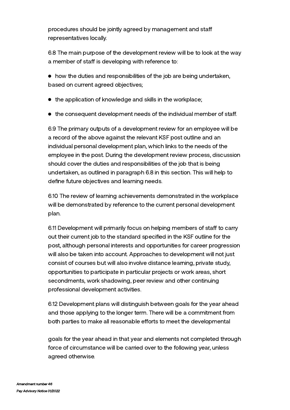procedures should be jointly agreed by management and sta representatives locally.

6.8 The main purpose of the development review will be to look at the way a member of staff is developing with reference to:

how the duties and responsibilities of the job are being undertaken, based on current agreed objectives;

- the application of knowledge and skills in the workplace;
- $\bullet$  the consequent development needs of the individual member of staff.

6.9 The primary outputs of a development review for an employee will be a record of the above against the relevant KSF post outline and an individual personal development plan, which links to the needs of the employee in the post. During the development review process, discussion should cover the duties and responsibilities of the job that is being undertaken, as outlined in paragraph 6.8 in this section. This will help to define future objectives and learning needs.

6.10 The review of learning achievements demonstrated in the workplace will be demonstrated by reference to the current personal development plan.

6.11 Development will primarily focus on helping members of staff to carry out their current job to the standard specified in the KSF outline for the post, although personal interests and opportunities for career progression will also be taken into account. Approaches to development will not just consist of courses but will also involve distance learning, private study, opportunities to participate in particular projects or work areas, short secondments, work shadowing, peer review and other continuing professional development activities.

6.12 Development plans will distinguish between goals for the year ahead and those applying to the longer term. There will be a commitment from both parties to make all reasonable efforts to meet the developmental

goals for the year ahead in that year and elements not completed through force of circumstance will be carried over to the following year, unless agreed otherwise.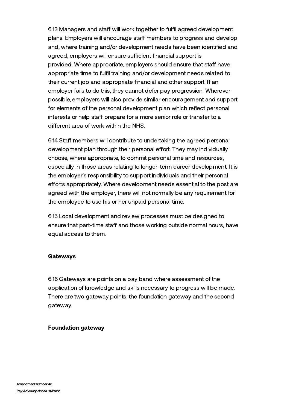6.13 Managers and staff will work together to fulfil agreed development plans. Employers will encourage staff members to progress and develop and, where training and/or development needs have been identified and agreed, employers will ensure sufficient financial support is provided. Where appropriate, employers should ensure that staff have appropriate time to fulfil training and/or development needs related to their current job and appropriate financial and other support. If an employer fails to do this, they cannot defer pay progression. Wherever possible, employers will also provide similar encouragement and support for elements of the personal development plan which reflect personal interests or help staff prepare for a more senior role or transfer to a different area of work within the NHS.

6.14 Staff members will contribute to undertaking the agreed personal development plan through their personal effort. They may individually choose, where appropriate, to commit personal time and resources, especially in those areas relating to longer-term career development. It is the employer's responsibility to support individuals and their personal efforts appropriately. Where development needs essential to the post are agreed with the employer, there will not normally be any requirement for the employee to use his or her unpaid personal time.

6.15 Local development and review processes must be designed to ensure that part-time staff and those working outside normal hours, have equal access to them.

#### Gateways

6.16 Gateways are points on a pay band where assessment of the application of knowledge and skills necessary to progress will be made. There are two gateway points: the foundation gateway and the second gateway.

#### Foundation gateway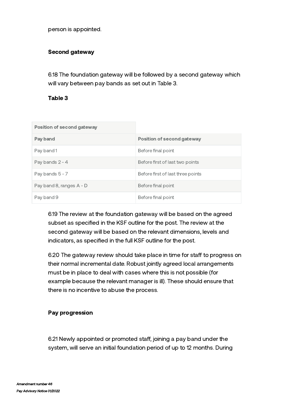person is appointed.

#### Second gateway

6.18 The foundation gateway will be followed by a second gateway which will vary between pay bands as set out in Table 3.

#### Table 3

| Position of second gateway |                                   |
|----------------------------|-----------------------------------|
| Pay band                   | Position of second gateway        |
| Pay band 1                 | Before final point                |
| Pay bands $2 - 4$          | Before first of last two points   |
| Pay bands $5 - 7$          | Before first of last three points |
| Pay band 8, ranges A - D   | Before final point                |
| Pay band 9                 | Before final point                |

6.19 The review at the foundation gateway will be based on the agreed subset as specified in the KSF outline for the post. The review at the second gateway will be based on the relevant dimensions, levels and indicators, as specified in the full KSF outline for the post.

6.20 The gateway review should take place in time for staff to progress on their normal incremental date. Robust jointly agreed local arrangements must be in place to deal with cases where this is not possible (for example because the relevant manager is ill). These should ensure that there is no incentive to abuse the process.

#### Pay progression

6.21 Newly appointed or promoted staff, joining a pay band under the system, will serve an initial foundation period of up to 12 months. During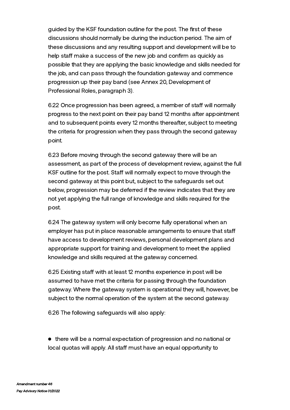guided by the KSF foundation outline for the post. The first of these discussions should normally be during the induction period. The aim of these discussions and any resulting support and development will be to help staff make a success of the new job and confirm as quickly as possible that they are applying the basic knowledge and skills needed for the job, and can pass through the foundation gateway and commence progression up their pay band (see Annex 20, Development of Professional Roles, paragraph 3).

6.22 Once progression has been agreed, a member of staff will normally progress to the next point on their pay band 12 months after appointment and to subsequent points every 12 months thereafter, subject to meeting the criteria for progression when they pass through the second gateway point.

6.23 Before moving through the second gateway there will be an assessment, as part of the process of development review, against the full KSF outline for the post. Staff will normally expect to move through the second gateway at this point but, subject to the safeguards set out below, progression may be deferred if the review indicates that they are not yet applying the full range of knowledge and skills required for the post.

6.24 The gateway system will only become fully operational when an employer has put in place reasonable arrangements to ensure that sta have access to development reviews, personal development plans and appropriate support for training and development to meet the applied knowledge and skills required at the gateway concerned.

6.25 Existing staff with at least 12 months experience in post will be assumed to have met the criteria for passing through the foundation gateway. Where the gateway system is operational they will, however, be subject to the normal operation of the system at the second gateway.

6.26 The following safeguards will also apply:

• there will be a normal expectation of progression and no national or local quotas will apply. All staff must have an equal opportunity to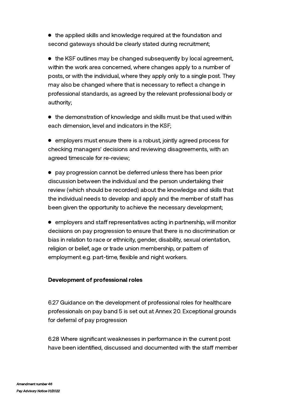the applied skills and knowledge required at the foundation and second gateways should be clearly stated during recruitment;

• the KSF outlines may be changed subsequently by local agreement, within the work area concerned, where changes apply to a number of posts, or with the individual, where they apply only to a single post. They may also be changed where that is necessary to reflect a change in professional standards, as agreed by the relevant professional body or authority;

the demonstration of knowledge and skills must be that used within each dimension, level and indicators in the KSF;

employers must ensure there is a robust, jointly agreed process for checking managers' decisions and reviewing disagreements, with an agreed timescale for re-review;

pay progression cannot be deferred unless there has been prior discussion between the individual and the person undertaking their review (which should be recorded) about the knowledge and skills that the individual needs to develop and apply and the member of staff has been given the opportunity to achieve the necessary development;

 $\bullet$  employers and staff representatives acting in partnership, will monitor decisions on pay progression to ensure that there is no discrimination or bias in relation to race or ethnicity, gender, disability, sexual orientation, religion or belief, age or trade union membership, or pattern of employment e.g. part-time, flexible and night workers.

# Development of professional roles

6.27 Guidance on the development of professional roles for healthcare professionals on pay band 5 is set out at Annex 20. Exceptional grounds for deferral of pay progression

6.28 Where significant weaknesses in performance in the current post have been identified, discussed and documented with the staff member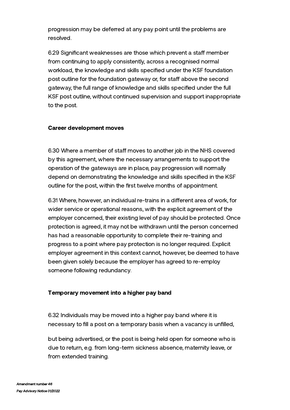progression may be deferred at any pay point until the problems are resolved.

6.29 Significant weaknesses are those which prevent a staff member from continuing to apply consistently, across a recognised normal workload, the knowledge and skills specified under the KSF foundation post outline for the foundation gateway or, for staff above the second gateway, the full range of knowledge and skills specified under the full KSF post outline, without continued supervision and support inappropriate to the post.

#### Career development moves

6.30 Where a member of staff moves to another job in the NHS covered by this agreement, where the necessary arrangements to support the operation of the gateways are in place, pay progression will normally depend on demonstrating the knowledge and skills specified in the KSF outline for the post, within the first twelve months of appointment.

6.31 Where, however, an individual re-trains in a different area of work, for wider service or operational reasons, with the explicit agreement of the employer concerned, their existing level of pay should be protected. Once protection is agreed, it may not be withdrawn until the person concerned has had a reasonable opportunity to complete their re-training and progress to a point where pay protection is no longer required. Explicit employer agreement in this context cannot, however, be deemed to have been given solely because the employer has agreed to re-employ someone following redundancy.

# Temporary movement into a higher pay band

6.32 Individuals may be moved into a higher pay band where it is necessary to fill a post on a temporary basis when a vacancy is unfilled,

but being advertised, or the post is being held open for someone who is due to return, e.g. from long-term sickness absence, maternity leave, or from extended training.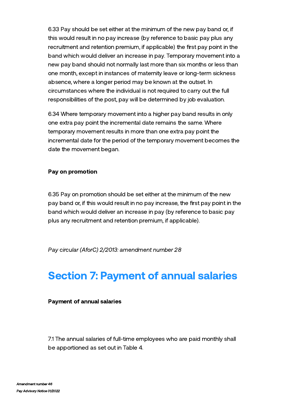6.33 Pay should be set either at the minimum of the new pay band or, if this would result in no pay increase (by reference to basic pay plus any recruitment and retention premium, if applicable) the first pay point in the band which would deliver an increase in pay. Temporary movement into a new pay band should not normally last more than six months or less than one month, except in instances of maternity leave or long-term sickness absence, where a longer period may be known at the outset. In circumstances where the individual is not required to carry out the full responsibilities of the post, pay will be determined by job evaluation.

6.34 Where temporary movement into a higher pay band results in only one extra pay point the incremental date remains the same. Where temporary movement results in more than one extra pay point the incremental date for the period of the temporary movement becomes the date the movement began.

#### Pay on promotion

6.35 Pay on promotion should be set either at the minimum of the new pay band or, if this would result in no pay increase, the first pay point in the band which would deliver an increase in pay (by reference to basic pay plus any recruitment and retention premium, if applicable).

Pay circular (AforC) 2/2013: amendment number 28

# Section 7: Payment of annual salaries

#### Payment of annual salaries

7.1 The annual salaries of full-time employees who are paid monthly shall be apportioned as set out in Table 4.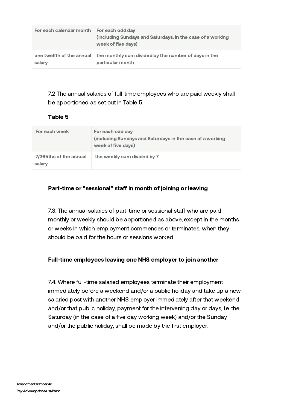| For each calendar month | For each odd day<br>(including Sundays and Saturdays, in the case of a working<br>week of five days) |
|-------------------------|------------------------------------------------------------------------------------------------------|
| salary                  | one twelfth of the annual the monthly sum divided by the number of days in the<br>particular month   |

7.2 The annual salaries of full-time employees who are paid weekly shall be apportioned as set out in Table 5.

# Table 5

| For each week                    | For each odd day<br>(including Sundays and Saturdays in the case of a working<br>week of five days) |
|----------------------------------|-----------------------------------------------------------------------------------------------------|
| 7/365ths of the annual<br>salary | the weekly sum divided by 7                                                                         |

# Part-time or "sessional" staff in month of joining or leaving

7.3. The annual salaries of part-time or sessional staff who are paid monthly or weekly should be apportioned as above, except in the months or weeks in which employment commences or terminates, when they should be paid for the hours or sessions worked.

# Full-time employees leaving one NHS employer to join another

7.4. Where full-time salaried employees terminate their employment immediately before a weekend and/or a public holiday and take up a new salaried post with another NHS employer immediately after that weekend and/or that public holiday, payment for the intervening day or days, i.e. the Saturday (in the case of a five day working week) and/or the Sunday and/or the public holiday, shall be made by the first employer.